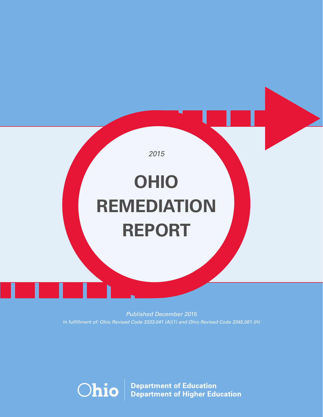

Published December 2015 In fulfillment of: Ohio Revised Code 3333.041 (A)(1) and Ohio Revised Code 3345.061 (H)

**Department of Education<br>Department of Higher Education Ohio**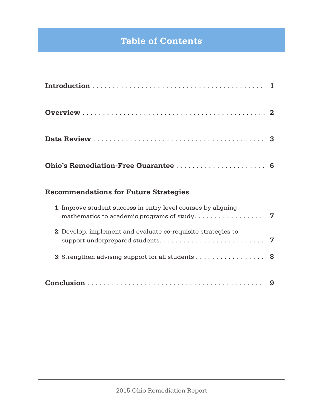# **Table of Contents**

### **Recommendations for Future Strategies**

| 1: Improve student success in entry-level courses by aligning<br>mathematics to academic programs of study. $\dots \dots \dots \dots \dots$ |  |
|---------------------------------------------------------------------------------------------------------------------------------------------|--|
| 2: Develop, implement and evaluate co-requisite strategies to                                                                               |  |
| 3: Strengthen advising support for all students $\dots \dots \dots \dots \dots$                                                             |  |
|                                                                                                                                             |  |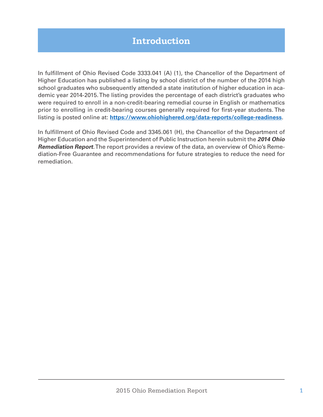## **Introduction**

In fulfillment of Ohio Revised Code 3333.041 (A) (1), the Chancellor of the Department of Higher Education has published a listing by school district of the number of the 2014 high school graduates who subsequently attended a state institution of higher education in academic year 2014-2015. The listing provides the percentage of each district's graduates who were required to enroll in a non-credit-bearing remedial course in English or mathematics prior to enrolling in credit-bearing courses generally required for first-year students. The listing is posted online at: **https://www.ohiohighered.org/data-reports/college-readiness**.

In fulfillment of Ohio Revised Code and 3345.061 (H), the Chancellor of the Department of Higher Education and the Superintendent of Public Instruction herein submit the **2014 Ohio Remediation Report**. The report provides a review of the data, an overview of Ohio's Remediation-Free Guarantee and recommendations for future strategies to reduce the need for remediation.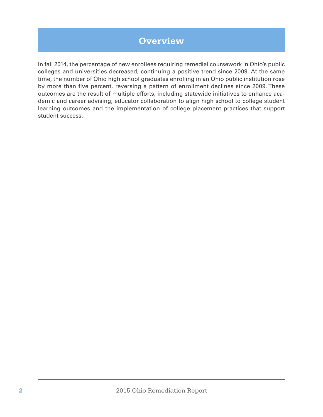## **Overview**

In fall 2014, the percentage of new enrollees requiring remedial coursework in Ohio's public colleges and universities decreased, continuing a positive trend since 2009. At the same time, the number of Ohio high school graduates enrolling in an Ohio public institution rose by more than five percent, reversing a pattern of enrollment declines since 2009. These outcomes are the result of multiple efforts, including statewide initiatives to enhance academic and career advising, educator collaboration to align high school to college student learning outcomes and the implementation of college placement practices that support student success.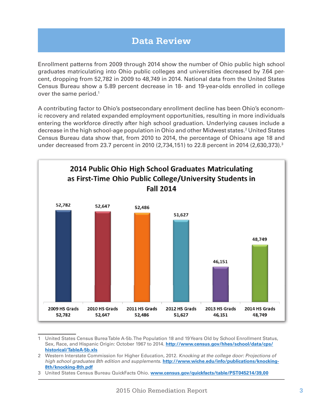## **Data Review**

Enrollment patterns from 2009 through 2014 show the number of Ohio public high school graduates matriculating into Ohio public colleges and universities decreased by 7.64 percent, dropping from 52,782 in 2009 to 48,749 in 2014. National data from the United States Census Bureau show a 5.89 percent decrease in 18- and 19-year-olds enrolled in college over the same period.<sup>1</sup>

A contributing factor to Ohio's postsecondary enrollment decline has been Ohio's economic recovery and related expanded employment opportunities, resulting in more individuals entering the workforce directly after high school graduation. Underlying causes include a decrease in the high school-age population in Ohio and other Midwest states.<sup>2</sup> United States Census Bureau data show that, from 2010 to 2014, the percentage of Ohioans age 18 and under decreased from 23.7 percent in 2010 (2,734,151) to 22.8 percent in 2014 (2,630,373).<sup>3</sup>



<sup>1</sup> United States Census Burea Table A-5b. The Population 18 and 19 Years Old by School Enrollment Status, Sex, Race, and Hispanic Origin: October 1967 to 2014. **http://www.census.gov/hhes/school/data/cps/ historical/TableA-5b.xls**

<sup>2</sup> Western Interstate Commission for Higher Education, 2012. Knocking at the college door: Projections of high school graduates 8th edition and supplements. **http://www.wiche.edu/info/publications/knocking-8th/knocking-8th.pdf**

<sup>3</sup> United States Census Bureau QuickFacts Ohio. **www.census.gov/quickfacts/table/PST045214/39,00**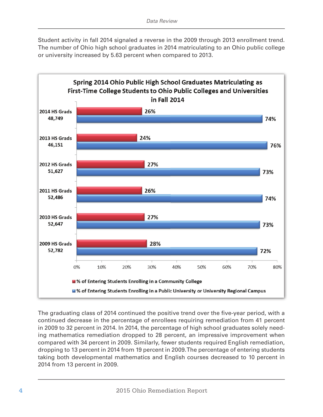Student activity in fall 2014 signaled a reverse in the 2009 through 2013 enrollment trend. The number of Ohio high school graduates in 2014 matriculating to an Ohio public college or university increased by 5.63 percent when compared to 2013.



The graduating class of 2014 continued the positive trend over the five-year period, with a continued decrease in the percentage of enrollees requiring remediation from 41 percent in 2009 to 32 percent in 2014. In 2014, the percentage of high school graduates solely needing mathematics remediation dropped to 28 percent, an impressive improvement when compared with 34 percent in 2009. Similarly, fewer students required English remediation, dropping to 13 percent in 2014 from 19 percent in 2009. The percentage of entering students taking both developmental mathematics and English courses decreased to 10 percent in 2014 from 13 percent in 2009.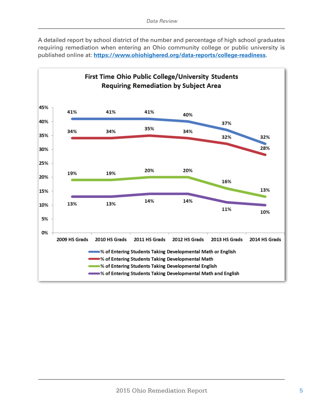A detailed report by school district of the number and percentage of high school graduates requiring remediation when entering an Ohio community college or public university is published online at: **https://www.ohiohighered.org/data-reports/college-readiness**.

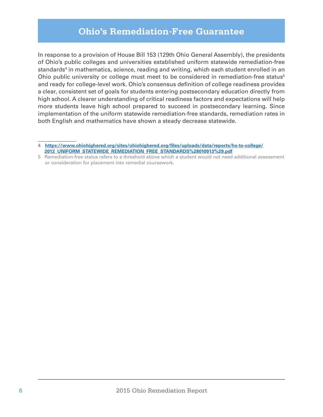### **Ohio's Remediation-Free Guarantee**

In response to a provision of House Bill 153 (129th Ohio General Assembly), the presidents of Ohio's public colleges and universities established uniform statewide remediation-free standards<sup>4</sup> in mathematics, science, reading and writing, which each student enrolled in an Ohio public university or college must meet to be considered in remediation-free status<sup>5</sup> and ready for college-level work. Ohio's consensus definition of college readiness provides a clear, consistent set of goals for students entering postsecondary education directly from high school. A clearer understanding of critical readiness factors and expectations will help more students leave high school prepared to succeed in postsecondary learning. Since implementation of the uniform statewide remediation-free standards, remediation rates in both English and mathematics have shown a steady decrease statewide.

<sup>4</sup> **https://www.ohiohighered.org/sites/ohiohighered.org/fi les/uploads/data/reports/hs-to-college/ 2012\_UNIFORM\_STATEWIDE\_REMEDIATION\_FREE\_STANDARDS%28010913%29.pdf**

<sup>5</sup> Remediation-free status refers to a threshold above which a student would not need additional assessment or consideration for placement into remedial coursework.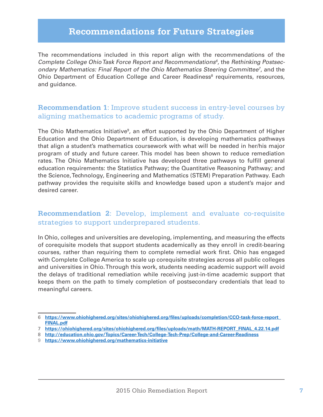### **Recommendations for Future Strategies**

The recommendations included in this report align with the recommendations of the Complete College Ohio Task Force Report and Recommendations<sup> $6$ </sup>, the Rethinking Postsecondary Mathematics: Final Report of the Ohio Mathematics Steering Committee<sup>7</sup>, and the Ohio Department of Education College and Career Readiness<sup>8</sup> requirements, resources, and guidance.

#### **Recommendation 1**: Improve student success in entry-level courses by aligning mathematics to academic programs of study.

The Ohio Mathematics Initiative<sup>9</sup>, an effort supported by the Ohio Department of Higher Education and the Ohio Department of Education, is developing mathematics pathways that align a student's mathematics coursework with what will be needed in her/his major program of study and future career. This model has been shown to reduce remediation rates. The Ohio Mathematics Initiative has developed three pathways to fulfill general education requirements: the Statistics Pathway; the Quantitative Reasoning Pathway; and the Science, Technology, Engineering and Mathematics (STEM) Preparation Pathway. Each pathway provides the requisite skills and knowledge based upon a student's major and desired career.

#### **Recommendation 2**: Develop, implement and evaluate co-requisite strategies to support underprepared students.

In Ohio, colleges and universities are developing, implementing, and measuring the effects of corequisite models that support students academically as they enroll in credit-bearing courses, rather than requiring them to complete remedial work first. Ohio has engaged with Complete College America to scale up corequisite strategies across all public colleges and universities in Ohio. Through this work, students needing academic support will avoid the delays of traditional remediation while receiving just-in-time academic support that keeps them on the path to timely completion of postsecondary credentials that lead to meaningful careers.

<sup>6</sup> **https://www.ohiohighered.org/sites/ohiohighered.org/fi les/uploads/completion/CCO-task-force-report\_ FINAL.pdf**

<sup>7</sup> **https://ohiohighered.org/sites/ohiohighered.org/fi les/uploads/math/MATH-REPORT\_FINAL\_4.22.14.pdf**

<sup>8</sup> **http://education.ohio.gov/Topics/Career-Tech/College-Tech-Prep/College-and-Career-Readiness**

<sup>9</sup> **https://www.ohiohighered.org/mathematics-initiative**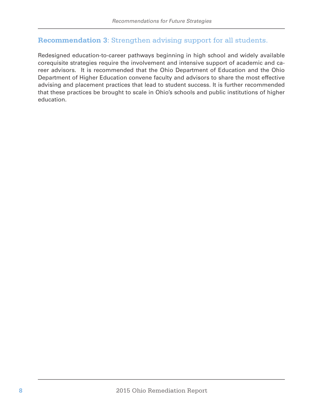#### **Recommendation 3**: Strengthen advising support for all students.

Redesigned education-to-career pathways beginning in high school and widely available corequisite strategies require the involvement and intensive support of academic and career advisors. It is recommended that the Ohio Department of Education and the Ohio Department of Higher Education convene faculty and advisors to share the most effective advising and placement practices that lead to student success. It is further recommended that these practices be brought to scale in Ohio's schools and public institutions of higher education.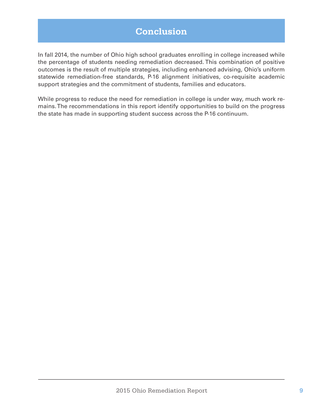## **Conclusion**

In fall 2014, the number of Ohio high school graduates enrolling in college increased while the percentage of students needing remediation decreased. This combination of positive outcomes is the result of multiple strategies, including enhanced advising, Ohio's uniform statewide remediation-free standards, P-16 alignment initiatives, co-requisite academic support strategies and the commitment of students, families and educators.

While progress to reduce the need for remediation in college is under way, much work remains. The recommendations in this report identify opportunities to build on the progress the state has made in supporting student success across the P-16 continuum.